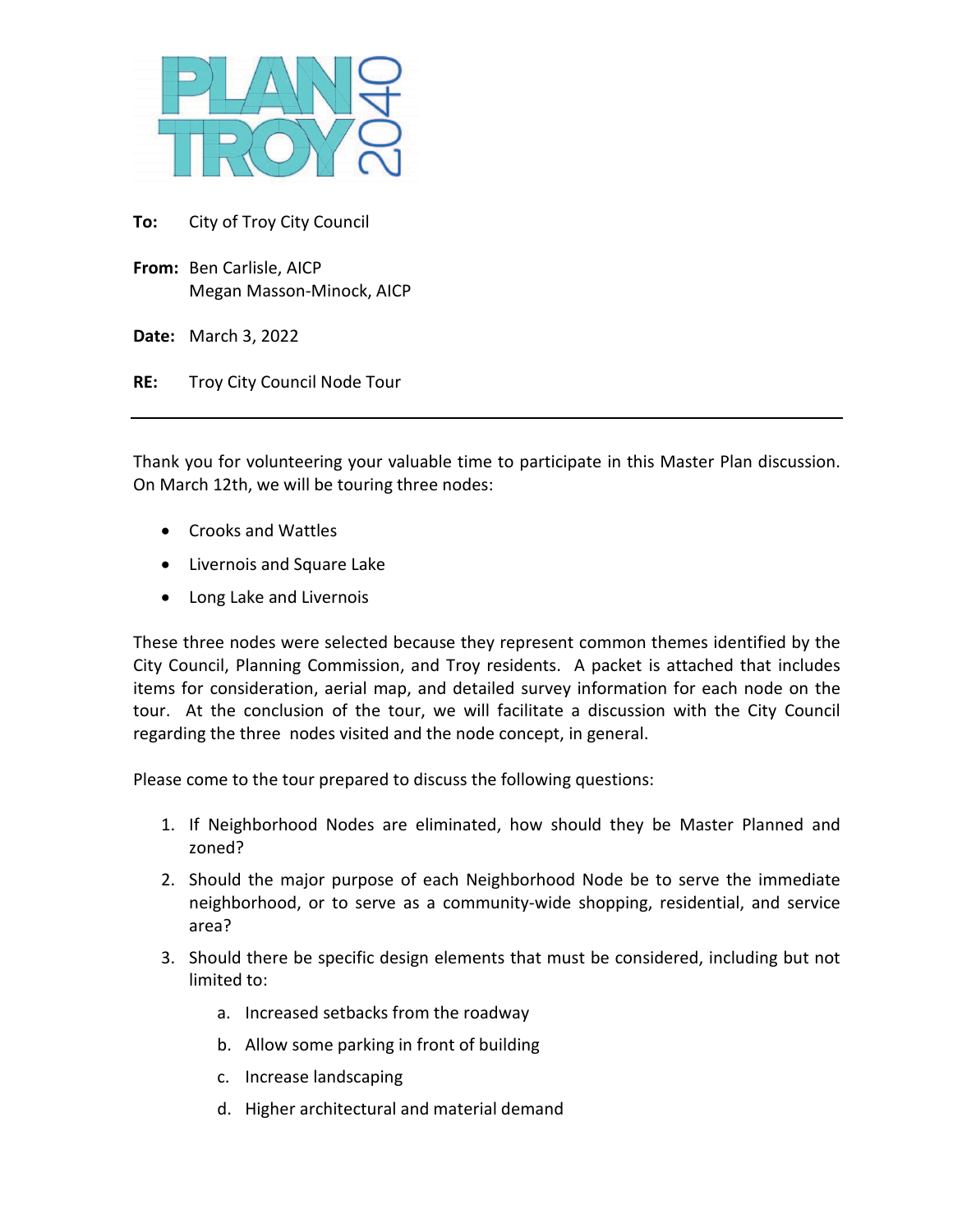

**To:** City of Troy City Council

**From:** Ben Carlisle, AICP Megan Masson-Minock, AICP

**Date:** March 3, 2022

**RE:** Troy City Council Node Tour

Thank you for volunteering your valuable time to participate in this Master Plan discussion. On March 12th, we will be touring three nodes:

- Crooks and Wattles
- Livernois and Square Lake
- Long Lake and Livernois

These three nodes were selected because they represent common themes identified by the City Council, Planning Commission, and Troy residents. A packet is attached that includes items for consideration, aerial map, and detailed survey information for each node on the tour. At the conclusion of the tour, we will facilitate a discussion with the City Council regarding the three nodes visited and the node concept, in general.

Please come to the tour prepared to discuss the following questions:

- 1. If Neighborhood Nodes are eliminated, how should they be Master Planned and zoned?
- 2. Should the major purpose of each Neighborhood Node be to serve the immediate neighborhood, or to serve as a community-wide shopping, residential, and service area?
- 3. Should there be specific design elements that must be considered, including but not limited to:
	- a. Increased setbacks from the roadway
	- b. Allow some parking in front of building
	- c. Increase landscaping
	- d. Higher architectural and material demand